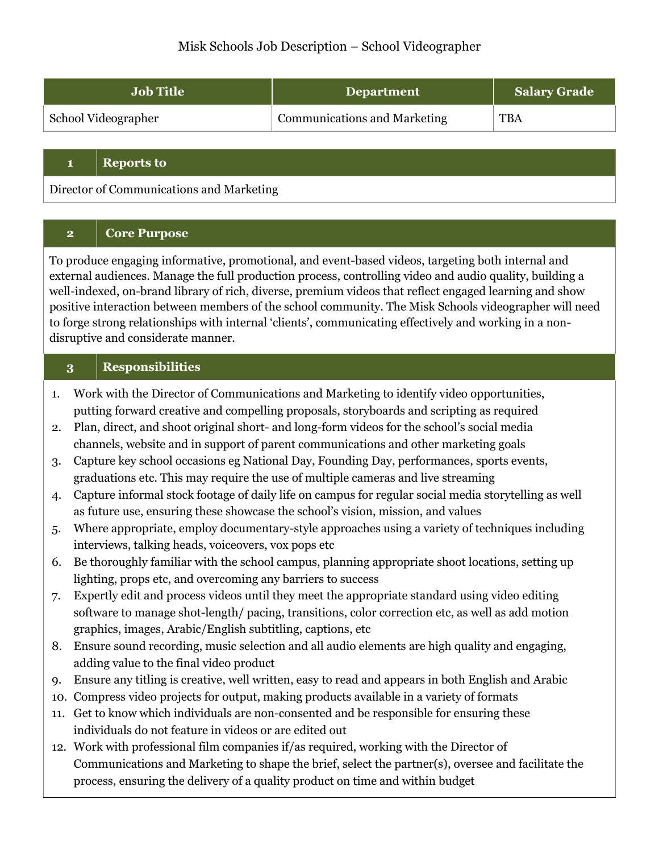# Misk Schools Job Description – School Videographer

| <b>Job Title</b>    | <b>Department</b>                   | <b>Salary Grade</b> |
|---------------------|-------------------------------------|---------------------|
| School Videographer | <b>Communications and Marketing</b> | <b>TBA</b>          |

#### **1 Reports to**

Director of Communications and Marketing

### **2 Core Purpose**

To produce engaging informative, promotional, and event-based videos, targeting both internal and external audiences. Manage the full production process, controlling video and audio quality, building a well-indexed, on-brand library of rich, diverse, premium videos that reflect engaged learning and show positive interaction between members of the school community. The Misk Schools videographer will need to forge strong relationships with internal 'clients', communicating effectively and working in a nondisruptive and considerate manner.

### **3 Responsibilities**

- 1. Work with the Director of Communications and Marketing to identify video opportunities, putting forward creative and compelling proposals, storyboards and scripting as required
- 2. Plan, direct, and shoot original short- and long-form videos for the school's social media channels, website and in support of parent communications and other marketing goals
- 3. Capture key school occasions eg National Day, Founding Day, performances, sports events, graduations etc. This may require the use of multiple cameras and live streaming
- 4. Capture informal stock footage of daily life on campus for regular social media storytelling as well as future use, ensuring these showcase the school's vision, mission, and values
- 5. Where appropriate, employ documentary-style approaches using a variety of techniques including interviews, talking heads, voiceovers, vox pops etc
- 6. Be thoroughly familiar with the school campus, planning appropriate shoot locations, setting up lighting, props etc, and overcoming any barriers to success
- 7. Expertly edit and process videos until they meet the appropriate standard using video editing software to manage shot-length/ pacing, transitions, color correction etc, as well as add motion graphics, images, Arabic/English subtitling, captions, etc
- 8. Ensure sound recording, music selection and all audio elements are high quality and engaging, adding value to the final video product
- 9. Ensure any titling is creative, well written, easy to read and appears in both English and Arabic
- 10. Compress video projects for output, making products available in a variety of formats
- 11. Get to know which individuals are non-consented and be responsible for ensuring these individuals do not feature in videos or are edited out
- 12. Work with professional film companies if/as required, working with the Director of Communications and Marketing to shape the brief, select the partner(s), oversee and facilitate the process, ensuring the delivery of a quality product on time and within budget